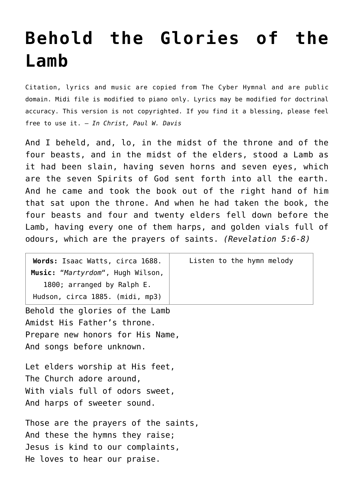## **[Behold the Glories of the](http://reproachofmen.org/hymns-and-music/behold-the-glories-of-the-lamb/) [Lamb](http://reproachofmen.org/hymns-and-music/behold-the-glories-of-the-lamb/)**

Citation, lyrics and music are copied from [The Cyber Hymnal](http://www.hymntime.com/tch/index.htm) and are public domain. Midi file is modified to piano only. Lyrics may be modified for doctrinal accuracy. This version is not copyrighted. If you find it a blessing, please feel free to use it. — *In Christ, Paul W. Davis*

And I beheld, and, lo, in the midst of the throne and of the four beasts, and in the midst of the elders, stood a Lamb as it had been slain, having seven horns and seven eyes, which are the seven Spirits of God sent forth into all the earth. And he came and took the book out of the right hand of him that sat upon the throne. And when he had taken the book, the four beasts and four and twenty elders fell down before the Lamb, having every one of them harps, and golden vials full of odours, which are the prayers of saints. *(Revelation 5:6-8)*

**Words:** Isaac Watts, circa 1688. **Music:** "*Martyrdom*", Hugh Wilson, 1800; arranged by Ralph E. Hudson, circa 1885. [\(midi](http://www.reproachofmen.org/hymns/midi/martyrdom-ma.mid), [mp3](http://www.reproachofmen.org/hymns/mp3/martyrdom-ma.mp3)) Behold the glories of the Lamb

Amidst His Father's throne. Prepare new honors for His Name, And songs before unknown.

Let elders worship at His feet, The Church adore around, With vials full of odors sweet, And harps of sweeter sound.

Those are the prayers of the saints, And these the hymns they raise; Jesus is kind to our complaints, He loves to hear our praise.

Listen to the hymn melody